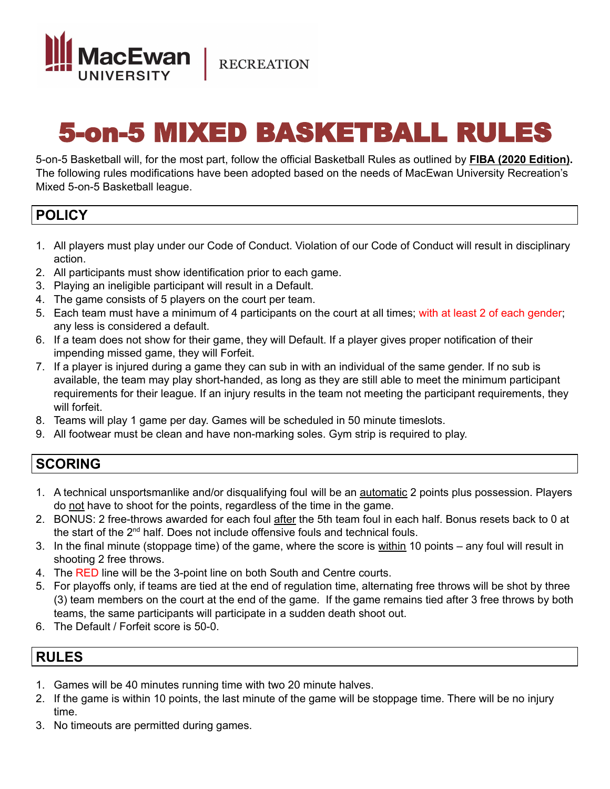

**RECREATION** 

# 5-on-5 MIXED BASKETBALL RULES

5-on-5 Basketball will, for the most part, follow the official Basketball Rules as outlined by **FIBA (2020 Edition).** The following rules modifications have been adopted based on the needs of MacEwan University Recreation's Mixed 5-on-5 Basketball league.

### **POLICY**

- 1. All players must play under our Code of Conduct. Violation of our Code of Conduct will result in disciplinary action.
- 2. All participants must show identification prior to each game.
- 3. Playing an ineligible participant will result in a Default.
- 4. The game consists of 5 players on the court per team.
- 5. Each team must have a minimum of 4 participants on the court at all times; with at least 2 of each gender; any less is considered a default.
- 6. If a team does not show for their game, they will Default. If a player gives proper notification of their impending missed game, they will Forfeit.
- 7. If a player is injured during a game they can sub in with an individual of the same gender. If no sub is available, the team may play short-handed, as long as they are still able to meet the minimum participant requirements for their league. If an injury results in the team not meeting the participant requirements, they will forfeit.
- 8. Teams will play 1 game per day. Games will be scheduled in 50 minute timeslots.
- 9. All footwear must be clean and have non-marking soles. Gym strip is required to play.

### **SCORING**

- 1. A technical unsportsmanlike and/or disqualifying foul will be an automatic 2 points plus possession. Players do not have to shoot for the points, regardless of the time in the game.
- 2. BONUS: 2 free-throws awarded for each foul after the 5th team foul in each half. Bonus resets back to 0 at the start of the 2<sup>nd</sup> half. Does not include offensive fouls and technical fouls.
- 3. In the final minute (stoppage time) of the game, where the score is within 10 points any foul will result in shooting 2 free throws.
- 4. The RED line will be the 3-point line on both South and Centre courts.
- 5. For playoffs only, if teams are tied at the end of regulation time, alternating free throws will be shot by three (3) team members on the court at the end of the game. If the game remains tied after 3 free throws by both teams, the same participants will participate in a sudden death shoot out.
- 6. The Default / Forfeit score is 50-0.

### **RULES**

- 1. Games will be 40 minutes running time with two 20 minute halves.
- 2. If the game is within 10 points, the last minute of the game will be stoppage time. There will be no injury time.
- 3. No timeouts are permitted during games.